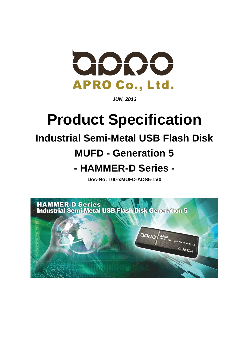

*JUN. 2013* 

# **Product Specification**

## **Industrial Semi-Metal USB Flash Disk**

## **MUFD - Generation 5**

## **- HAMMER-D Series -**

**Doc-No: 100-xMUFD-ADS5-1V0** 

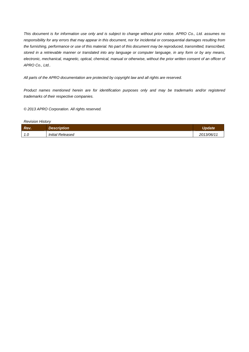*This document is for information use only and is subject to change without prior notice. APRO Co., Ltd. assumes no responsibility for any errors that may appear in this document, nor for incidental or consequential damages resulting from the furnishing, performance or use of this material. No part of this document may be reproduced, transmitted, transcribed, stored in a retrievable manner or translated into any language or computer language, in any form or by any means, electronic, mechanical, magnetic, optical, chemical, manual or otherwise, without the prior written consent of an officer of APRO Co., Ltd..* 

*All parts of the APRO documentation are protected by copyright law and all rights are reserved.* 

*Product names mentioned herein are for identification purposes only and may be trademarks and/or registered trademarks of their respective companies.* 

*© 2013 APRO Corporation. All rights reserved.* 

*Revision History* 

| <b>Rev.</b>      | <b>Description</b>      | Update     |
|------------------|-------------------------|------------|
| $\cdot$ . $\cup$ | <b>Initial Released</b> | 2013/06/11 |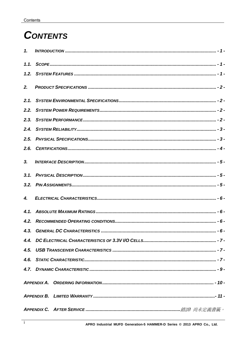## **CONTENTS**

| $\mathbf{1}$ . |                                                                     |
|----------------|---------------------------------------------------------------------|
| 1.1.           |                                                                     |
| 1.2.           |                                                                     |
| 2.             |                                                                     |
| 2.1.           |                                                                     |
| 2.2.           |                                                                     |
| 2.3.           |                                                                     |
| 2.4.           |                                                                     |
| 2.5.           |                                                                     |
| 2.6.           |                                                                     |
| 3 <sub>r</sub> |                                                                     |
| 3.1.           |                                                                     |
| 3.2.           |                                                                     |
| 4.             |                                                                     |
| 4.1.           |                                                                     |
| 4.2.           |                                                                     |
|                |                                                                     |
|                |                                                                     |
|                |                                                                     |
|                |                                                                     |
|                |                                                                     |
|                |                                                                     |
|                |                                                                     |
|                | APPENDIX C. AFTER SERVICE ………………………………………………………………………………錯誤! 尚未定義書籤。 |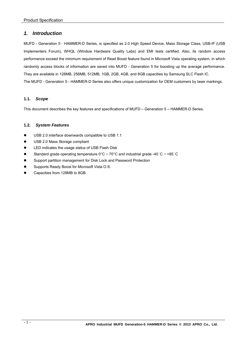## *1. Introduction*

MUFD - Generation 5–HAMMER-D Series, is specified as 2.0 High Speed Device, Mass Storage Class; USB-IF (USB Implementers Forum), WHQL (Window Hardware Quality Labs) and EMI tests certified. Also, its random access performance exceed the minimum requirement of Read Boost feature found in Microsoft Vista operating system, in which randomly access blocks of information are saved into MUFD - Generation 5 for boosting up the average performance. They are available in 128MB, 256MB, 512MB, 1GB, 2GB, 4GB, and 8GB capacities by Samsung SLC Flash IC. The MUFD - Generation 5 - HAMMER-D Series also offers unique customization for OEM customers by laser markings.

#### **1.1.** *Scope*

This document describes the key features and specifications of MUFD – Generation 5 – HAMMER-D Series.

#### **1.2.** *System Features*

- USB 2.0 interface downwards compatible to USB 1.1
- USB 2.0 Mass Storage compliant
- LED indicates the usage status of USB Flash Disk
- Standard grade operating temperature  $0^{\circ}$ C ~ 70°C and industrial grade -40°C ~ +85°C
- Support partition management for Disk Lock and Password Protection
- Supports Ready Boost for Microsoft Vista O.S.
- Capacities from 128MB to 8GB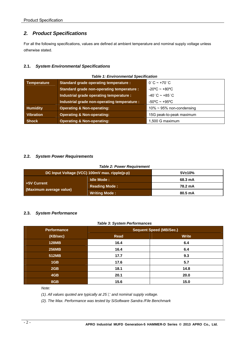## *2. Product Specifications*

For all the following specifications, values are defined at ambient temperature and nominal supply voltage unless otherwise stated.

## **2.1.** *System Environmental Specifications*

| Table T. Environmental Specification |                                                  |                                            |  |
|--------------------------------------|--------------------------------------------------|--------------------------------------------|--|
| <b>Temperature</b>                   | <b>Standard grade operating temperature:</b>     | $0^\circ \text{C} \sim +70^\circ \text{C}$ |  |
|                                      | <b>Standard grade non-operating temperature:</b> | $-20^{\circ}$ C ~ +80 $^{\circ}$ C         |  |
|                                      | Industrial grade operating temperature :         | $-40^{\circ}$ C ~ +85 $^{\circ}$ C         |  |
|                                      | Industrial grade non-operating temperature :     | $-50^{\circ}$ C ~ +95°C                    |  |
| <b>Humidity</b>                      | <b>Operating &amp; Non-operating:</b>            | $10\% \sim 95\%$ non-condensing            |  |
| <b>Vibration</b>                     | <b>Operating &amp; Non-operating:</b>            | 15G peak-to-peak maximum                   |  |
| <b>Shock</b>                         | <b>Operating &amp; Non-operating:</b>            | 1,500 G maximum                            |  |

## *Table 1: Environmental Specification*

## **2.2.** *System Power Requirements*

#### *Table 2: Power Requirement*

| DC Input Voltage (VCC) 100mV max. ripple(p-p) |                      | 5V±10%  |  |
|-----------------------------------------------|----------------------|---------|--|
|                                               | Idle Mode:           | 68.3 mA |  |
| +5V Current                                   | <b>Reading Mode:</b> | 78.2 mA |  |
| (Maximum average value)                       | <b>Writing Mode:</b> | 80.5 mA |  |

#### **2.3.** *System Performance*

|  | <b>Table 3: System Performances</b> |
|--|-------------------------------------|
|--|-------------------------------------|

| <b>Performance</b> | <b>Sequent Speed (MB/Sec.)</b> |              |  |  |
|--------------------|--------------------------------|--------------|--|--|
| (KB/sec)           | Read                           | <b>Write</b> |  |  |
| <b>128MB</b>       | 16.4                           | 6.4          |  |  |
| <b>256MB</b>       | 16.4                           | 6.4          |  |  |
| 512MB              | 17.7                           | 9.3          |  |  |
| 1GB                | 17.6                           | 5.7          |  |  |
| 2GB                | 18.1                           | 14.8         |  |  |
| 4GB                | 20.1                           | 20.0         |  |  |
| 8GB                | 15.6                           | 15.0         |  |  |

#### *Note:*

*(1). All values quoted are typically at 25*℃ *and nominal supply voltage.* 

*(2). The Max. Performance was tested by SiSoftware Sandra /File Benchmark*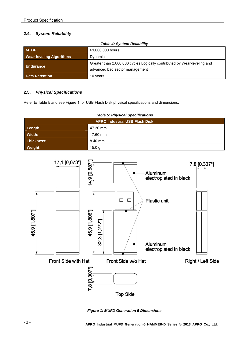## **2.4.** *System Reliability*

| Table 4: System Reliability                |                                                                          |  |  |
|--------------------------------------------|--------------------------------------------------------------------------|--|--|
| <b>MTBF</b>                                | >1,000,000 hours                                                         |  |  |
| <b>Wear-leveling Algorithms</b><br>Dynamic |                                                                          |  |  |
|                                            | Greater than 2,000,000 cycles Logically contributed by Wear-leveling and |  |  |
| Endurance                                  | advanced bad sector management                                           |  |  |
| <b>Data Retention</b>                      | 10 years                                                                 |  |  |

#### *Table 4: System Reliability*

## **2.5.** *Physical Specifications*

Refer to Table 5 and see Figure 1 for USB Flash Disk physical specifications and dimensions.

| <b>Table 5: Physical Specifications</b> |          |  |
|-----------------------------------------|----------|--|
| <b>APRO Industrial USB Flash Disk</b>   |          |  |
| Length:                                 | 47.30 mm |  |
| Width:                                  | 17.60 mm |  |
| <b>Thickness:</b>                       | 8.40 mm  |  |
| Weight:                                 | 15.0 g   |  |



*Figure 1: MUFD Generation 5 Dimensions*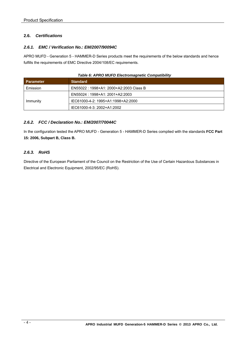## **2.6.** *Certifications*

## *2.6.1. EMC / Verification No.: EM/2007/90094C*

APRO MUFD - Generation 5 - HAMMER-D Series products meet the requirements of the below standards and hence fulfills the requirements of EMC Directive 2004/108/EC requirements.

| <b>Parameter</b> | <b>Standard</b>                        |
|------------------|----------------------------------------|
| Emission         | EN55022: 1998+A1: 2000+A2:2003 Class B |
|                  | EN55024: 1998+A1: 2001+A2:2003         |
| Immunity         | IEC61000-4-2: 1995+A1:1998+A2:2000     |
|                  | IEC61000-4-3: 2002+A1:2002             |

## *Table 6: APRO MUFD Electromagnetic Compatibility*

## *2.6.2. FCC / Declaration No.: EM/2007/70044C*

In the configuration tested the APRO MUFD - Generation 5 - HAMMER-D Series complied with the standards **FCC Part 15: 2006, Subpart B, Class B.** 

## *2.6.3. RoHS*

Directive of the European Parliament of the Council on the Restriction of the Use of Certain Hazardous Substances in Electrical and Electronic Equipment, 2002/95/EC (RoHS).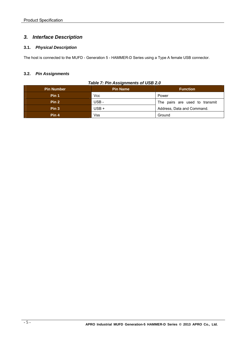## *3. Interface Description*

## **3.1.** *Physical Description*

The host is connected to the MUFD - Generation 5 - HAMMER-D Series using a Type A female USB connector.

## **3.2.** *Pin Assignments*

## *Table 7: Pin Assignments of USB 2.0*

| <b>Pin Number</b> | <b>Pin Name</b> | <b>Function</b>                |  |
|-------------------|-----------------|--------------------------------|--|
| Pin 1             | <b>Vcc</b>      | Power                          |  |
| Pin <sub>2</sub>  | USB-            | The pairs are used to transmit |  |
| Pin <sub>3</sub>  | $USB +$         | Address, Data and Command.     |  |
| Pin 4             | <b>Vss</b>      | Ground                         |  |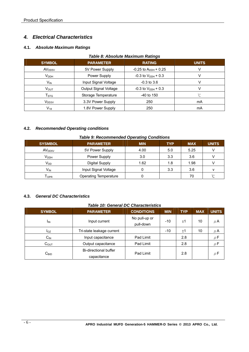## *4. Electrical Characteristics*

## **4.1.** *Absolute Maximum Ratings*

| <b>Table 8: Absolute Maximum Ratings</b> |                       |                                    |              |  |
|------------------------------------------|-----------------------|------------------------------------|--------------|--|
| <b>SYMBOL</b>                            | <b>PARAMETER</b>      | <b>RATING</b>                      | <b>UNITS</b> |  |
| AV <sub>DD5V</sub>                       | 5V Power Supply       | $-0.25$ to A <sub>DDH</sub> + 0.25 |              |  |
| V <sub>DDH</sub>                         | Power Supply          | $-0.3$ to $V_{DDH}$ + 0.3          |              |  |
| $V_{\text{IN}}$                          | Input Signal Voltage  | $-0.3$ to 3.6                      |              |  |
| $V_{OUT}$                                | Output Signal Voltage | $-0.3$ to $V_{DDH}$ + 0.3          |              |  |
| $\mathsf{T}_{\text{STG}}$                | Storage Temperature   | $-40$ to 150                       | °C           |  |
| V <sub>DD3V</sub>                        | 3.3V Power Supply     | 250                                | mA           |  |
| $V_{18}$                                 | 1.8V Power Supply     | 250                                | mA           |  |

## **4.2.** *Recommended Operating conditions*

#### *Table 9: Recommended Operating Conditions*

| <b>SYSMBOL</b>     | <b>PARAMETER</b>             | <b>MIN</b> | <b>TYP</b> | <b>MAX</b> | <b>UNITS</b> |
|--------------------|------------------------------|------------|------------|------------|--------------|
| AV <sub>DD5V</sub> | 5V Power Supply              | 4.00       | 5.0        | 5.25       |              |
| V <sub>DDH</sub>   | Power Supply                 | 3.0        | 3.3        | 3.6        |              |
| $V_{DD}$           | <b>Digital Supply</b>        | 1.62       | 1.8        | 1.98       |              |
| $V_{IN}$           | Input Signal Voltage         | 0          | 3.3        | 3.6        |              |
| l opr              | <b>Operating Temperature</b> |            |            | 70         | $\sim$       |

## **4.3.** *General DC Characteristics*

## *Table 10: General DC Characteristics*

| <b>SYMBOL</b>    | <b>PARAMETER</b>                            | <b>CONDITIONS</b>          | <b>MIN</b> | <b>TYP</b> | <b>MAX</b> | <b>UNITS</b> |
|------------------|---------------------------------------------|----------------------------|------------|------------|------------|--------------|
| <sup>I</sup> IN  | Input current                               | No pull-up or<br>pull-down | $-10$      | ±1         | 10         | $\mu$ A      |
| loz              | Tri-state leakage current                   |                            | $-10$      | ±1         | 10         | $\mu$ A      |
| $C_{IN}$         | Input capacitance                           | Pad Limit                  |            | 2.8        |            | $\rho$ F     |
| $C_{OUT}$        | Output capacitance                          | Pad Limit                  |            | 2.8        |            | $\rho$ F     |
| C <sub>BID</sub> | <b>Bi-directional buffer</b><br>capacitance | Pad Limit                  |            | 2.8        |            | $\rho$ F     |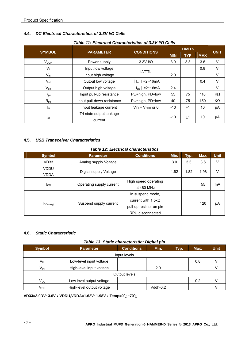## **4.4.** *DC Electrical Characteristics of 3.3V I/O Cells*

| Table 11: Electrical Characteristics of 3.3V I/O Cells |                                     |                                        |               |            |            |             |
|--------------------------------------------------------|-------------------------------------|----------------------------------------|---------------|------------|------------|-------------|
|                                                        |                                     | <b>CONDITIONS</b>                      | <b>LIMITS</b> |            |            |             |
| <b>SYMBOL</b>                                          | <b>PARAMETER</b>                    |                                        | <b>MIN</b>    | <b>TYP</b> | <b>MAX</b> | <b>UNIT</b> |
| V <sub>DDH</sub>                                       | Power supply                        | 3.3V I/O                               | 3.0           | 3.3        | 3.6        | $\vee$      |
| $V_{\parallel}$                                        | Input low voltage                   |                                        |               |            | 0.8        | $\vee$      |
| $V_{ih}$                                               | Input high voltage                  | <b>LVTTL</b>                           | 2.0           |            |            | V           |
| $V_{ol}$                                               | Output low voltage                  | $= 2 \times 16 \text{ mA}$<br>$I_{01}$ |               |            | 0.4        | $\vee$      |
| $V_{oh}$                                               | Output high voltage                 | ∣ =2~16mA<br>$I_{\text{oh}}$           | 2.4           |            |            | V           |
| $R_{\text{pu}}$                                        | Input pull-up resistance            | PU=high, PD=low                        | 55            | 75         | 110        | KΩ          |
| $R_{pd}$                                               | Input pull-down resistance          | PU=high, PD=low                        | 40            | 75         | 150        | KΩ          |
| $I_{\text{in}}$                                        | Input leakage current               | Vin = $V_{DDH}$ or 0                   | $-10$         | $+1$       | 10         | μA          |
| $I_{oz}$                                               | Tri-state output leakage<br>current |                                        | $-10$         | ±1         | 10         | μA          |

**4.5.** *USB Transceiver Characteristics* 

## *Table 12: Electrical characteristics*

| Table TZ. LIECUTCal Characteristics |                          |                           |      |      |      |             |
|-------------------------------------|--------------------------|---------------------------|------|------|------|-------------|
| <b>Symbol</b>                       | <b>Parameter</b>         | <b>Conditions</b>         | Min. | Typ. | Max. | <b>Unit</b> |
| VD33                                | Analog supply Voltage    |                           | 3.0  | 3.3  | 3.6  | V           |
| <b>VDDU</b>                         |                          |                           |      |      |      |             |
| <b>VDDA</b>                         | Digital supply Voltage   |                           | 1.62 | 1.82 | 1.98 | V           |
|                                     |                          | High speed operating      |      |      |      |             |
| $_{\rm lcc}$                        | Operating supply current | at 480 MHz                |      |      | 55   | mA          |
|                                     |                          | In suspend mode,          |      |      |      |             |
| ICC(susp)                           |                          | current with $1.5k\Omega$ |      |      |      |             |
|                                     | Suspend supply current   | pull-up resistor on pin   |      |      | 120  | μA          |
|                                     |                          | RPU disconnected          |      |      |      |             |

## **4.6.** *Static Characteristic*

## *Table 13: Static characteristic: Digital pin*

| <b>Symbol</b>   | <b>Parameter</b>          | <b>Conditions</b> | Min.     | Typ. | Max. | <b>Unit</b> |
|-----------------|---------------------------|-------------------|----------|------|------|-------------|
|                 | Input levels              |                   |          |      |      |             |
| $V_{IL}$        | Low-level input voltage   |                   |          |      | 0.8  |             |
| Vıн             | High-level input voltage  |                   | 2.0      |      |      |             |
| Output levels   |                           |                   |          |      |      |             |
| Vol             | Low level output voltage  |                   |          |      | 0.2  |             |
| V <sub>он</sub> | High-level output voltage |                   | Vddh-0.2 |      |      |             |

#### **VD33=3.0DV~3.6V**;**VDDU,VDDA=1.62V~1.98V**;**Temp=0**℃**~70**℃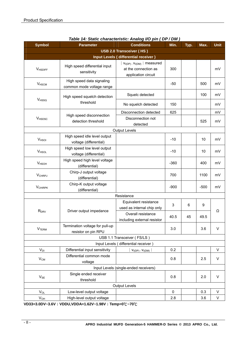| <b>Symbol</b>            | <b>Parameter</b>                                       | $\sim$ . Static characteristic. Analog i/O pin (Di / Dii)<br><b>Conditions</b>       | Min.   | Typ. | Max.   | <b>Unit</b> |  |
|--------------------------|--------------------------------------------------------|--------------------------------------------------------------------------------------|--------|------|--------|-------------|--|
|                          |                                                        | USB 2.0 Transceiver (HS)                                                             |        |      |        |             |  |
|                          | Input Levels (differential receiver)                   |                                                                                      |        |      |        |             |  |
| <b>VHSDIFF</b>           | High speed differential input<br>sensitivity           | $ v_{I(DP)}$ . $v_{I(DM)}$   measured<br>at the connection as<br>application circuit | 300    |      |        | mV          |  |
| <b>V</b> <sub>HSCM</sub> | High speed data signaling<br>common mode voltage range |                                                                                      | $-50$  |      | 500    | mV          |  |
| <b>V</b> <sub>HSSQ</sub> | High speed squelch detection                           | Squelc detected                                                                      |        |      | 100    | mV          |  |
|                          | threshold                                              | No squelch detected                                                                  | 150    |      |        | mV          |  |
|                          | High speed disconnection                               | Disconnection detected                                                               | 625    |      |        | mV          |  |
| <b>V</b> HSDSC           | detection threshold                                    | Disconnection not<br>detected                                                        |        |      | 525    | mV          |  |
|                          |                                                        | <b>Output Levels</b>                                                                 |        |      |        |             |  |
| V <sub>HSOI</sub>        | High speed idle level output<br>voltage (differential) |                                                                                      | $-10$  |      | 10     | mV          |  |
| VHSOL                    | High speed low level output<br>voltage (differential)  |                                                                                      | $-10$  |      | 10     | mV          |  |
| <b>V</b> HSOH            | High speed high level voltage<br>(differential)        |                                                                                      | $-360$ |      | 400    | mV          |  |
| <b>VCHRPJ</b>            | Chirp-J output voltage<br>(differential)               |                                                                                      | 700    |      | 1100   | mV          |  |
| <b>VCHIRPK</b>           | Chirp-K output voltage<br>(differential)               |                                                                                      | $-900$ |      | $-500$ | mV          |  |
|                          |                                                        | Resistance                                                                           |        |      |        |             |  |
|                          | Driver output impedance                                | Equivalent resistance<br>used as internal chip only                                  | 3<br>6 | 9    | Ω      |             |  |
| R <sub>DRV</sub>         |                                                        | Overall resistance<br>including external resistor                                    | 40.5   | 45   | 49.5   |             |  |
| <b>V</b> <sub>TERM</sub> | Termination voltage for pull-up<br>resistor on pin RPU |                                                                                      | 3.0    |      | 3.6    | V           |  |
|                          |                                                        | USB 1.1 Transceiver (FS/LS)                                                          |        |      |        |             |  |
|                          | Input Levels (differential receiver)                   |                                                                                      |        |      |        |             |  |
| $V_{DI}$                 | Differential input sensitivity                         | $V_{I(DP)}$ - $V_{I(DM)}$                                                            | 0.2    |      |        | V           |  |
| $V_{CM}$                 | Differential common mode<br>voltage                    |                                                                                      | 0.8    |      | 2.5    | $\vee$      |  |
|                          | Input Levels (single-ended receivers)                  |                                                                                      |        |      |        |             |  |
| $V_{SE}$                 | Single ended receiver<br>threshold                     |                                                                                      | 0.8    |      | 2.0    | $\vee$      |  |
| <b>Output Levels</b>     |                                                        |                                                                                      |        |      |        |             |  |
| $V_{OL}$                 | Low-level output voltage                               |                                                                                      | 0      |      | 0.3    | V           |  |
| $V_{OH}$                 | High-level output voltage                              |                                                                                      | 2.8    |      | 3.6    | V           |  |

## *Table 14: Static characteristic: Analog I/O pin ( DP / DM )*

**VD33=3.0DV~3.6V**;**VDDU,VDDA=1.62V~1.98V**;**Temp=0**℃**~70**℃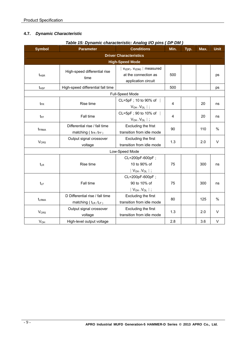## **4.7.** *Dynamic Characteristic*

| <b>Symbol</b>            | rable 15: Dynamic characteristic: Analog I/O pins ( DP DM )<br><b>Parameter</b> | <b>Conditions</b>                                                                   | Min. | Typ. | Max. | <b>Unit</b> |
|--------------------------|---------------------------------------------------------------------------------|-------------------------------------------------------------------------------------|------|------|------|-------------|
|                          | <b>Driver Characteristics</b>                                                   |                                                                                     |      |      |      |             |
|                          |                                                                                 | <b>High-Speed Mode</b>                                                              |      |      |      |             |
| $t_{HSR}$                | High-speed differential rise<br>time                                            | $V_{I(DP)}$ . $V_{I(DM)}$   measured<br>at the connection as<br>application circuit | 500  |      |      | ps          |
| $t_{HSF}$                | High-speed differential fall time                                               |                                                                                     | 500  |      |      | ps          |
|                          |                                                                                 | Full-Speed Mode                                                                     |      |      |      |             |
| $t_{FR}$                 | Rise time                                                                       | CL=5pF; 10 to 90% of  <br>$V_{OH}$ $V_{OL}$   ;                                     | 4    |      | 20   | ns          |
| $t_{\text{FF}}$          | Fall time                                                                       | CL=5pF; 90 to 10% of  <br>$V_{OH}$ . $V_{OL}$   ;                                   | 4    |      | 20   | ns          |
| $t_{FRMA}$               | Differential rise / fall time<br>matching $(t_{FR}/t_{FF})$                     | Excluding the frist<br>transition from idle mode                                    | 90   |      | 110  | %           |
| <b>V<sub>CRS</sub></b>   | Output signal crossover<br>voltage                                              | Excluding the first<br>transition from idle mode                                    | 1.3  |      | 2.0  | V           |
|                          |                                                                                 | Low-Speed Mode                                                                      |      |      |      |             |
| $t_{LR}$                 | Rise time                                                                       | CL=200pF-600pF;<br>10 to 90% of<br>$V_{OH}$ . $V_{OL}$   ;                          | 75   |      | 300  | ns          |
| t <sub>LF</sub>          | Fall time                                                                       | CL=200pF-600pF;<br>90 to 10% of<br>$V_{OH}$ - $V_{OL}$   ;                          | 75   |      | 300  | ns          |
| <b>t</b> <sub>LRMA</sub> | D Differential rise / fall time<br>matching ( $t_{LR}$ , $t_{LF}$ )             | Excluding the first<br>transition from idle mode                                    | 80   |      | 125  | %           |
| <b>V<sub>CRS</sub></b>   | Output signal crossover<br>voltage                                              | Excluding the first<br>transition from idle mode                                    | 1.3  |      | 2.0  | $\vee$      |
| <b>V<sub>OH</sub></b>    | High-level output voltage                                                       |                                                                                     | 2.8  |      | 3.6  | V           |

## *Table 15: Dynamic characteristic: Analog I/O pins ( DP DM )*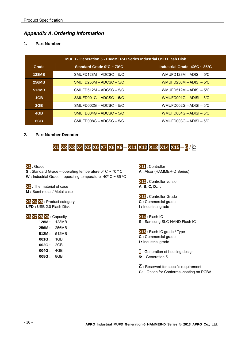## *Appendix A. Ordering Information*

## **1. Part Number**

| <b>MUFD - Generation 5 - HAMMER-D Series Industrial USB Flash Disk</b> |                                                |                                                     |  |  |  |
|------------------------------------------------------------------------|------------------------------------------------|-----------------------------------------------------|--|--|--|
| Grade                                                                  | Standard Grade $0^{\circ}$ C ~ 70 $^{\circ}$ C | Industrial Grade -40 $^{\circ}$ C ~ 85 $^{\circ}$ C |  |  |  |
| <b>128MB</b>                                                           | $SMUFD128M - ADCSC - 5/C$                      | WMUFD128M $-$ ADISI $-$ 5/C                         |  |  |  |
| 256MB                                                                  | $SMUFD256M - ADCSC - 5/C$                      | WMUFD256M $-$ ADISI $-$ 5/C                         |  |  |  |
| 512MB                                                                  | $SMUFD512M - ADCSC - 5/C$                      | WMUFD512M $-$ ADISI $-$ 5/C                         |  |  |  |
| 1 <sub>GB</sub>                                                        | $SMUFD001G - ADCSC - 5/C$                      | WMUFD001G $-$ ADISI $-$ 5/C                         |  |  |  |
| 2GB                                                                    | $SMUFD002G - ADCSC - 5/C$                      | WMUFD002G $-$ ADISI $-$ 5/C                         |  |  |  |
| 4GB                                                                    | $SMUFD004G - ADCSC - 5/C$                      | WMUFD004G $-$ ADISI $-$ 5/C                         |  |  |  |
| 8GB                                                                    | $SMUFD008G - ADCSC - 5/C$                      | WMUFD008G $-$ ADISI $-$ 5/C                         |  |  |  |

## **2. Part Number Decoder**

## **X1 X2 X3 X4 X5 X6 X7 X8 X9**-**X11 X12 X13 X14 X15**-**5 / C**

## **X1** : Grade

**S :** Standard Grade – operating temperature 0º C ~ 70 º C **W :** Industrial Grade – operating temperature -40º C ~ 85 ºC

**X2** : The material of case **M :** Semi-metal / Metal case

**X3 X4 X5** : Product category **UFD :** USB 2.0 Flash Disk

| X6 X7 X8 X9 : Capacity |       |
|------------------------|-------|
| 128M :                 | 128MB |
| 256M :                 | 256MB |
| 512M :                 | 512MB |
| 001G:                  | 1GB   |
| 002G :                 | 2GB   |
| 004G :                 | 4GB   |
| 008G :                 | 8GB   |
|                        |       |



**X12** : Controller version **A, B, C, D….** 



**X14** : Flash IC **S :** Samsung SLC-NAND Flash IC

**X15** : Flash IC grade / Type

- **C :** Commercial grade
- **I :** Industrial grade

**5** : Generation of housing design **5:** Generation 5

- **C** : Reserved for specific requirement
- **C:** Option for Conformal-coating on PCBA